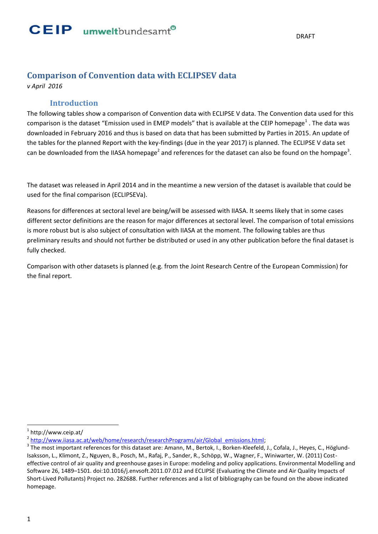### **Comparison of Convention data with ECLIPSEV data**

*v April 2016*

### **Introduction**

The following tables show a comparison of Convention data with ECLIPSE V data. The Convention data used for this comparison is the dataset "Emission used in EMEP models" that is available at the CEIP homepage<sup>1</sup>. The data was downloaded in February 2016 and thus is based on data that has been submitted by Parties in 2015. An update of the tables for the planned Report with the key-findings (due in the year 2017) is planned. The ECLIPSE V data set can be downloaded from the IIASA homepage<sup>2</sup> and references for the dataset can also be found on the hompage<sup>3</sup>.

The dataset was released in April 2014 and in the meantime a new version of the dataset is available that could be used for the final comparison (ECLIPSEVa).

Reasons for differences at sectoral level are being/will be assessed with IIASA. It seems likely that in some cases different sector definitions are the reason for major differences at sectoral level. The comparison of total emissions is more robust but is also subject of consultation with IIASA at the moment. The following tables are thus preliminary results and should not further be distributed or used in any other publication before the final dataset is fully checked.

Comparison with other datasets is planned (e.g. from the Joint Research Centre of the European Commission) for the final report.

 $\overline{a}$ 

<sup>1</sup> http://www.ceip.at/

<sup>&</sup>lt;sup>2</sup> [http://www.iiasa.ac.at/web/home/research/researchPrograms/air/Global\\_emissions.html;](http://www.iiasa.ac.at/web/home/research/researchPrograms/air/Global_emissions.html)

<sup>&</sup>lt;sup>3</sup> The most important references for this dataset are: Amann, M., Bertok, I., Borken-Kleefeld, J., Cofala, J., Heyes, C., Höglund-Isaksson, L., Klimont, Z., Nguyen, B., Posch, M., Rafaj, P., Sander, R., Schöpp, W., Wagner, F., Winiwarter, W. (2011) Costeffective control of air quality and greenhouse gases in Europe: modeling and policy applications. Environmental Modelling and Software 26, 1489–1501. doi:10.1016/j.envsoft.2011.07.012 and ECLIPSE (Evaluating the Climate and Air Quality Impacts of Short-Lived Pollutants) Project no. 282688. Further references and a list of bibliography can be found on the above indicated homepage.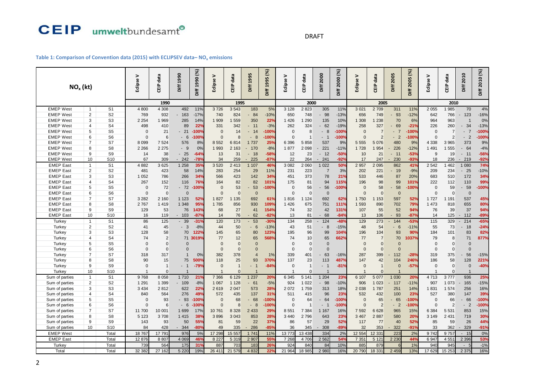#### DRAFT

### **Table 1: Comparison of Convention data (2015) with ECLIPSEV data– NO<sup>x</sup> emissions**

|                  |                  |                 | Eclipse V      | CEIP data      | Diff 1990   | Diff 1990 (%)      | Eclipse V      | data     | Diff 1995      | Diff 1995 (%)   | Eclipse V | CEIP data      | Diff 2000             | Diff 2000 (%) | >              | <b>CEIP data</b> | Diff 2005 | Diff 2005 (%) | Eclipse V | CEIP data      | Diff 2010                 | Diff 2010 (%) |
|------------------|------------------|-----------------|----------------|----------------|-------------|--------------------|----------------|----------|----------------|-----------------|-----------|----------------|-----------------------|---------------|----------------|------------------|-----------|---------------|-----------|----------------|---------------------------|---------------|
| $NOx$ (kt)       |                  |                 |                |                |             |                    |                | È        |                |                 |           |                |                       |               | Edipse \       |                  |           |               |           |                |                           |               |
|                  |                  |                 |                |                |             |                    |                |          |                |                 |           |                |                       |               |                |                  |           |               |           |                |                           |               |
|                  |                  |                 |                | 1990           |             |                    |                | 1995     |                |                 |           | 2000           |                       |               |                | 2005             |           |               |           | 2010           |                           |               |
| <b>EMEP West</b> | $\mathbf{1}$     | S <sub>1</sub>  | 4 800          | 4 3 0 8        | 492         | 11%                | 3726           | 3 5 4 3  | 183            | 5%              | 3 1 2 8   | 2 8 2 3        | 305                   | 11%           | 3 0 21         | 2709             | 311       | 11%           | 2 0 5 5   | 1985           | 70                        | 4%            |
| <b>EMEP West</b> | $\overline{2}$   | S <sub>2</sub>  | 769            | 932            | 163         | $-17%$             | 740            | 824      | 84             | $-10%$          | 650       | 748            | - 98                  | $-13%$        | 656            | 749              | 93        | $-12%$        | 642       | 766            | 123                       | $-16%$        |
| <b>EMEP West</b> | 3                | S <sub>3</sub>  | 2 2 5 4        | 1 969          | 285         | 14%                | 1 909          | 1 559    | 350            | 22%             | 1 4 2 6   | 1 2 9 0        | 135                   | 10%           | 1 308          | 1 2 3 8          | 70        | 6%            | 964       | 963            |                           | 0%            |
| <b>EMEP West</b> | $\overline{4}$   | S <sub>4</sub>  | 498            | 410            | 89          | 22 <sup>°</sup>    | 331            | 342      | $-11$          | $-3%$           | 262       | 324            | $-62$                 | $-19%$        | 258            | 327              | 69        | $-21%$        | 226       | 260            | 34<br>$\sim$              | $-13%$        |
| <b>EMEP West</b> | 5                | S <sub>5</sub>  | $\Omega$       | 21             | 21          | $-100%$            | $\Omega$       | 14       | 14             | $-100%$         | $\Omega$  | g              | 8                     | $-100%$       | $\Omega$       | $\overline{7}$   | 7<br>٠    | $-100%$       | $\Omega$  | $\overline{7}$ | $\overline{7}$            | $-100%$       |
| <b>EMEP West</b> | 6                | S <sub>6</sub>  | $\Omega$       | 6              | $-6$        | $-100%$            | $\Omega$       | 8        | 8<br>$\sim$    | $-100%$         | $\Omega$  |                | - 1                   | $-100%$       | $\Omega$       | $\overline{2}$   | $-2$      | $-100%$       | $\Omega$  | $\overline{2}$ | $\overline{2}$<br>$\sim$  | $-100%$       |
| <b>EMEP West</b> | $\overline{7}$   | S7              | 8 0 9 9        | 7 5 24         | 576         | 8%                 | 8 5 5 2        | 6814     | 1 7 3 7        | 25%             | 6 3 9 6   | 5 8 5 8        | 537                   | 9%            | 5 5 5 5        | 5 0 7 6          | 480       | 9%            | 4 3 3 8   | 3 9 6 5        | 373                       | 9%            |
| <b>EMEP West</b> | 8                | S <sub>8</sub>  | 2 2 6 6        | 2 2 7 5        | 9           | 0%                 | 1 9 9 3        | 2 1 6 3  | 170            | $-8%$           | 1877      | 2 0 9 8        | 221                   | $-11%$        | 1728           | 1 9 5 4          | 226       | $-12%$        | 1 4 9 1   | 1 555          | 64                        | $-4%$         |
| <b>EMEP West</b> | 9                | S9              | 14             | 38             | 25          | $-64%$             | 13             | 31       | $-18$          | $-58%$          | 12        | 23             | $-12$                 | $-50%$        | 10             | 21               | $-11$     | $-53%$        | 9         | 19             | $-11$                     | $-56%$        |
| <b>EMEP West</b> | 10               | S <sub>10</sub> | 67             | 309            | $-242$      | $-78$              | 34             | 259      | 225            | $-87%$          | 22        | 264            | 241<br>$\blacksquare$ | $-92%$        | 17             | 247              | 230       | $-93%$        | 18        | 236            | $-219$                    | $-92%$        |
| <b>EMEP East</b> | $\mathbf{1}$     | S <sub>1</sub>  | 4882           | 3625           | 1 2 5 8     | 35%                | 3 5 20         | 2 4 1 3  | 1 107          | 46%             | 3 0 8 2   | 2 060          | 1 0 2 2               | 50%           | 2 9 5 7        | 2 0 9 5          | 862       | 41%           | 2 5 4 2   | 1462           | 1 0 8 0                   | 74%           |
| <b>EMEP East</b> | $\overline{2}$   | S <sub>2</sub>  | 481            | 423            | 58          | 14%                | 283            | 254      | 29             | 11%             | 231       | 223            | $\overline{7}$        | 3%            | 202            | 221              | 19        | $-9%$         | 209       | 234            | 25                        | $-10%$        |
| <b>EMEP</b> East | 3                | S <sub>3</sub>  | 1 0 5 2        | 786            | 266         | 34%                | 566            | 423      | 142            | 34%             | 451       | 373            | 78                    | 21%           | 533            | 446              | 87        | 20%           | 683       | 510            | 172                       | 34%           |
| <b>EMEP East</b> | $\overline{4}$   | S <sub>4</sub>  | 267            | 152            | 116         | 76%                | 164            | 82       | 82             | 101%            | 175       | 81             | 94                    | 115%          | 196            | 98               | 99        | 101%          | 222       | 112            | 110                       | 99%           |
| <b>EMEP</b> East | 5                | S <sub>5</sub>  | $\Omega$       | 72             | $-72$       | $-100%$            | $\Omega$       | 53       | 53             | -100%           | $\Omega$  | 56             | - 56                  | $-100%$       | $\Omega$       | 58               | 58        | $-100%$       | $\Omega$  | 59             | 59                        | $-100%$       |
| <b>EMEP</b> East | 6                | S <sub>6</sub>  | $\Omega$       | $\Omega$       | $\Omega$    |                    | $\Omega$       | $\Omega$ | $\Omega$       |                 | $\Omega$  | $\Omega$       | $\Omega$              |               | $\Omega$       | $\Omega$         | $\Omega$  |               | $\Omega$  | $\mathbf{0}$   | $\Omega$                  |               |
| <b>EMEP East</b> | $\overline{7}$   | S7              | 3 2 8 2        | 2 160          | 1 1 2 3     | 52%                | 1 8 2 7        | 1 1 3 5  | 692            | 61%             | 1816      | 1 1 2 4        | 692                   | 62%           | 1750           | 1 1 5 3          | 597       | 52%           | 1 7 2 7   | 1 1 9 1        | 537                       | 45%           |
| <b>EMEP</b> East | 8                | S <sub>8</sub>  | 2767           | 1419           | 1 3 4 8     | 95%                | 1785           | 856      | 930            | 109%            | 1 4 2 6   | 675            | 751                   | 111%          | 1 5 9 3        | 890              | 702       | 79%           | 1 473     | 818            | 655                       | 80%           |
| <b>EMEP East</b> | $\boldsymbol{9}$ | S9              | 129            | 53             | 76          | 143%               | 68             | 27       | 41             | 154%            | 74        | 32             | 42                    | 131%          | 107            | 55               | 52        | 94%           | 76        | 39             | 37                        | 94%           |
| <b>EMEP East</b> | 10               | S <sub>10</sub> | 16             | 119            | $-103$      | $-87$ <sup>o</sup> | 14             | 76       | 62             | $-82%$          | 13        | 81             | $-68$                 | $-84%$        | 13             | 106              | 93        | $-87%$        | 14        | 125            | 112<br>$\sim$             | $-89%$        |
| Turkey           | $\mathbf{1}$     | S <sub>1</sub>  | 86             | 125            | 39          | $-31°$             | 120            | 173      | 53             | $-30o$          | 134       | 258            | 124                   | $-48o$        | 129            | 273              | 144       | $-53%$        | 115       | 329            | 214                       | $-65%$        |
| Turkey           | 2                | S <sub>2</sub>  | 41             | 45             | $-3$        | $-8%$              | 44             | 50       | - 6            | $-13%$          | 43        | 51             | 8                     | $-15%$        | 48             | 54               | $-6$      | $-11%$        | 55        | 73             | 18                        | $-24%$        |
| Turkey           | 3                | S <sub>3</sub>  | 128            | 58             | 70          | 122%               | 145            | 65       | 80             | 123%            | 195       | 96             | 99                    | 104%          | 196            | 104              | 93        | 90%           | 184       | 101            | 83                        | 82%           |
| Turkey           | $\overline{4}$   | S <sub>4</sub>  | 74             | $\overline{2}$ | 71          | 3019%              | 77             | 12       | 65             | 568%            | 74        | 10             | 65                    | 662%          | 77             | $\overline{7}$   | 70        | 1037%         | 79        | 8              | 71                        | 877%          |
| Turkey           | 5                | S <sub>5</sub>  | 0              | $\Omega$       | $\Omega$    |                    | $\Omega$       | $\Omega$ | $\Omega$       |                 | $\Omega$  | $\Omega$       | $\Omega$              |               | $\Omega$       | $\Omega$         | $\Omega$  |               | $\Omega$  | $\mathbf 0$    | $\Omega$                  |               |
| Turkey           | 6                | S <sub>6</sub>  | $\Omega$       | $\Omega$       | $\Omega$    |                    | $\Omega$       | $\Omega$ | $\Omega$       |                 | $\Omega$  | $\Omega$       | $\Omega$              |               | $\Omega$       | $\Omega$         | $\Omega$  |               | $\Omega$  | $\Omega$       | $\Omega$                  |               |
| Turkey           | $\overline{7}$   | S7              | 318            | 317            |             | 0%                 | 382            | 378      | $\overline{4}$ | 1%              | 339       | 401            | 63                    | $-16%$        | 287            | 399              | 112       | $-28%$        | 319       | 375            | 56                        | $-15%$        |
| Turkey           | 8                | S <sub>8</sub>  | 90             | 15             | 75          | 500%               | 118            | 25       | 93             | 370%            | 137       | 23             | 113                   | 487%          | 147            | 42               | 104       | 246%          | 186       | 58             | 128                       | 221%          |
| Turkey           | 9                | S <sub>9</sub>  | $\Omega$       | $\overline{1}$ | $-1$        | $-79%$             | $\Omega$       | -1       | - 1            | $-84%$          | $\Omega$  | $\overline{1}$ | - 1                   | $-81%$        | $\Omega$       | $\overline{1}$   | $\Omega$  | $-57%$        | $\Omega$  | $\mathbf{0}$   | $\Omega$                  | $-40%$        |
| Turkey           | 10               | S <sub>10</sub> | $\overline{1}$ | $\Omega$       |             |                    | $\overline{1}$ | $\Omega$ | $\overline{1}$ |                 |           | $\Omega$       |                       |               | $\overline{1}$ | $\Omega$         |           |               |           | $\Omega$       |                           |               |
| Sum of parties   | $\mathbf{1}$     | S <sub>1</sub>  | 9768           | 8 0 5 8        | 1710        | 21 <sup>o</sup>    | 7 3 6 6        | 6 1 2 9  | 1 2 3 7        | <b>20%</b>      | 6 3 4 5   | 5 1 4 1        | 1 204                 | 23%           | 6 107          | 5 0 7 7          | 1 0 3 0   | 20%           | 4713      | 3777           | 936                       | 25%           |
| Sum of parties   | $\overline{2}$   | S <sub>2</sub>  | 1 2 9 1        | 1 3 9 9        | 109         | $-8%$              | 1 0 6 7        | 1 1 2 8  | 61             | $-5%$           | 924       | 1 0 2 2        | - 98                  | $-10%$        | 906            | 1 0 2 3          | 117       | $-11%$        | 907       | 1 0 7 3        | 165                       | $-15%$        |
| Sum of parties   | 3                | S <sub>3</sub>  | 3 4 3 4        | 2812           | 622         | 22 <sup>°</sup>    | 2619           | 2 0 4 7  | 573            | 28%             | 2 0 7 2   | 1 7 5 9        | 313                   | 18%           | 2 0 38         | 1 7 8 7          | 251       | 14%           | 1831      | 1 5 7 4        | 256                       | 16%           |
| Sum of parties   | $\overline{4}$   | S <sub>4</sub>  | 840            | 564            | 276         | 49%                | 572            | 435      | 137            | 31%             | 511       | 415            | 96                    | 23%           | 532            | 432              | 100       | 23%           | 527       | 380            | 147                       | 39%           |
| Sum of parties   | 5                | S <sub>5</sub>  | $\Omega$       | 93             | 93          | $-100%$            | $\Omega$       | 68       | 68             | $-100$ %        | $\Omega$  | 64             | 64                    | $-100%$       | $\Omega$       | 65               | 65        | $-100%$       | $\Omega$  | 66             | 66                        | $-100%$       |
| Sum of parties   | 6                | S <sub>6</sub>  | $\Omega$       | 6              | 6<br>$\sim$ | $-100%$            | $\Omega$       | 8        | 8<br>$\sim$    | 100%            | $\Omega$  |                | $-1$                  | -100%         | $\Omega$       | $\overline{c}$   | $-2$      | $-100%$       | $\Omega$  | $\overline{2}$ | $-2$                      | $-100%$       |
| Sum of parties   | $\overline{7}$   | S7              | 11 700         | 10 001         | 1 6 9 9     | 17%                | 10761          | 8 3 2 8  | 2 4 3 3        | 29%             | 8 5 5 1   | 7 3 8 4        | 1 1 6 7               | 16%           | 7 5 9 2        | 6 6 28           | 965       | 15%           | 6 3 8 4   | 5 5 3 1        | 853                       | 15%           |
| Sum of parties   | 8                | S8              | 5 1 2 3        | 3708           | 1 4 1 5     | 38%                | 3896           | 3 0 4 3  | 853            | 28%             | 3 4 4 0   | 2796           | 643                   | 23%           | 3 4 6 7        | 2887             | 580       | 20%           | 3 1 4 9   | 2 4 3 1        | 719                       | 30%           |
| Sum of parties   | 9                | S <sub>9</sub>  | 143            | 93             | 50          | 55%                | 81             | 59       | 22             | 37%             | 86        | 57             | 29                    | 52%           | 117            | 77               | 40        | 52%           | 85        | 59             | 26                        | 44%           |
| Sum of parties   | 10               | S <sub>10</sub> | 84             | 428            | 344         | $-80%$             | 49             | 335      | 286            | $-85%$          | 36        | 345            | 308                   | $-89%$        | 32             | 353              | 322       | $-91%$        | 33        | 362            | 329                       | $-91%$        |
| <b>EMEP West</b> |                  | Total           | 18767          | 17 791         | 976         | 5%                 | 17 298         | 15 557   | 1 741          | 11%             | 13 773    | 13 438         | 334                   | 2%            | 12 554         | 12 331           | 223       | 2%            | 9742      | 9757           | $-15$                     | 0%            |
| <b>EMEP East</b> |                  | Total           | 12 876         | 8807           | 4 0 69      | 46%                | 8 2 2 7        | 5 3 1 9  | 2 9 0 7        | 55%             | 7 2 6 8   | 4 70 6         | 2 5 6 2               | 54%           | 7 3 5 1        | 5 1 21           | 2 2 3 0   | 44%           | 6 9 47    | 4 551          | 2 3 9 6                   | 53%           |
| Turkey           |                  | Total           | 739            | 564            | 175         | 31%                | 887            | 703      | 183            | 26%             | 924       | 840            | 84                    | 10%           | 885            | 879              |           | 1%            | 940       | 945            | $5\overline{5}$<br>$\sim$ | $-1%$         |
|                  |                  |                 |                |                |             |                    |                |          |                |                 |           |                |                       |               |                |                  |           |               |           |                |                           |               |
| Total            |                  | Total           | 32 382         | 27 162         | 5 2 2 0     | 19%                | 26 411         | 21 579   | 4 8 32         | 22 <sup>o</sup> | 21 964    | 18 985         | 2980                  | 16%           | 20 790         | 18 331           | 2 4 5 9   | 13%           | 17 629    | 15 253         | 2 3 7 5                   | 16%           |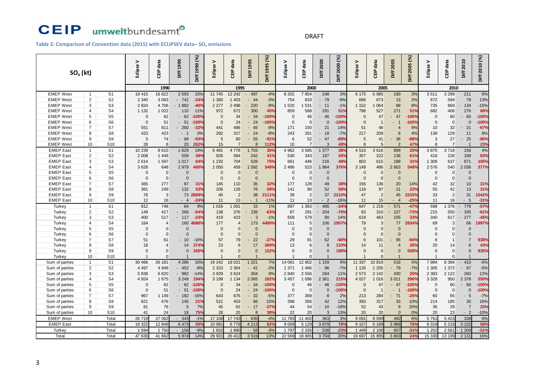#### DRAFT

#### **Table 2: Comparison of Convention data (2015) with ECLIPSEV data– SO<sup>x</sup> emissions**

|                  | $SO_{x}$ (kt)         |                      | $\geq$<br>Eclipse | data<br>읍      | Diff 1990    | Diff 1990 (%)         | Eclipse V      | data<br>읍      | 1995<br>Diff                               | Diff 1995 (%) | Eclipse V            | data<br>룹      | Diff 2000      | Diff 2000 (%) | Eclipse V            | data<br><b>E</b>     | 2005<br>Diff   | Diff 2005 (%) | Eclipse V | data<br>읍      | 2010<br>biff                   | Diff 2010 (%) |
|------------------|-----------------------|----------------------|-------------------|----------------|--------------|-----------------------|----------------|----------------|--------------------------------------------|---------------|----------------------|----------------|----------------|---------------|----------------------|----------------------|----------------|---------------|-----------|----------------|--------------------------------|---------------|
|                  |                       |                      |                   | 1990           |              |                       |                | 1995           |                                            |               |                      | 2000           |                |               |                      | 2005                 |                |               |           | 2010           |                                |               |
| <b>EMEP West</b> | $\mathbf{1}$          | S <sub>1</sub>       | 19 415            | 16822          | 2 5 9 3      | 15%                   | 11 745         | 12 24 2        | 497                                        | $-4%$         | 8 2 0 2              | 7 9 5 4        | 248            | 3%            | 6 175                | 5 985                | 190            | 3%            | 3511      | 3 2 9 9        | 211                            | 6%            |
| <b>EMEP West</b> | $\overline{2}$        | S <sub>2</sub>       | 2 3 4 0           | 3 0 8 3        | $-742$       | $-24%$                | 1 3 6 0        | 1 4 0 3        | 44                                         | $-3%$         | 754                  | 833            | - 79           | $-9%$         | 686                  | 673                  | 13             | 2%            | 672       | 594            | 79                             | 13%           |
| <b>EMEP West</b> | 3                     | S <sub>3</sub>       | 2 8 2 4           | 4706           | 1882         | $-40%$                | 2 2 7 7        | 2 4 9 8        | 220                                        | $-9%$         | 1 5 20               | 1 531          | $-11$          | $-1%$         | 1 1 5 2              | 1 0 6 4              | 88             | 8%            | 735       | 869            | 134                            | $-15%$        |
| <b>EMEP West</b> | $\overline{4}$        | S <sub>4</sub>       | 1 1 3 2           | 1 0 2 2        | 110          | 11%                   | 972            | 672            | 300                                        | 45%           | 859                  | 568            | 291            | 51%           | 798                  | 527                  | 271            | 51%           | 682       | 406            | 276                            | 68%           |
| <b>EMEP West</b> | 5                     | S <sub>5</sub>       | $\Omega$          | 62             | 62           | $-100%$               | $\Omega$       | 34             | 34                                         | $-100%$       | $\Omega$             | 46             | - 46           | $-100%$       | $\Omega$             | 47                   | 47             | $-100%$       | $\Omega$  | 60             | 60                             | $-100%$       |
| <b>EMEP West</b> | 6                     | S <sub>6</sub>       | $\Omega$          | 51             | $-51$        | $-100%$               | $\Omega$       | 24             | 24<br>÷.                                   | $-100%$       | $\Omega$             | $\Omega$       | $\Omega$       | $-100%$       | $\Omega$             | $\overline{1}$       | - 1            | $-100%$       | $\Omega$  | $\mathbf 0$    | $\Omega$                       | $-100%$       |
| <b>EMEP West</b> | $\overline{7}$        | S7                   | 551               | 811            | 260          | $-32%$                | 441            | 486            | $-45$                                      | $-9%$         | 171                  | 150            | 21             | 14%           | 51                   | 46                   | 4              | 9%            | 10        | 32             | 21<br>$\sim$                   | $-67%$        |
| <b>EMEP West</b> | 8                     | S <sub>8</sub>       | 423               | 423            | $-1$         | 0%                    | 292            | 317            | $-24$                                      | $-8%$         | 243                  | 261            | $-18$          | $-7%$         | 217                  | 209                  | 8              | 4%            | 139       | 129            | 11                             | 8%            |
| <b>EMEP West</b> | 9                     | S <sub>9</sub>       | 5                 | 74             | $-68$        | $-93%$                | 5              | 60             | 55                                         | $-91%$        | 6                    | 52             | 47             | $-89%$        | 5                    | 41                   | 36             | $-88%$        | 3         | 27             | 25                             | $-90%$        |
| <b>EMEP West</b> | 10                    | S <sub>10</sub>      | 28                | 8              | 20           | 262%                  | 15             | $\overline{7}$ | 8                                          | 112%          | 10                   | $\overline{7}$ | 3              | 49%           | 8                    | 5 <sup>5</sup>       | $\overline{2}$ | 47%           | 8         | $\overline{7}$ | $\overline{1}$                 | 23%           |
| <b>EMEP East</b> | $\mathbf{1}$          | S <sub>1</sub>       | 10 239            | 8610           | 1 6 2 9      | 19%                   | 6 4 8 1        | 4 7 7 8        | 1 703                                      | 36%           | 4 9 6 2              | 3585           | 1 377          | 38%           | 4 5 1 5              | 3 6 16               | 899            | 25%           | 3875      | 3718           | 156                            | 4%            |
| <b>EMEP East</b> | $\overline{2}$        | S <sub>2</sub>       | 2 0 0 8           | 1 4 4 9        | 559          | 39%                   | 826            | 584            | 242                                        | 41%           | 530                  | 343            | 187            | 55%           | 357                  | 222                  | 136            | 61%           | 418       | 228            | 189                            | 83%           |
| <b>EMEP</b> East | 3                     | S <sub>3</sub>       | 2614              | 1 5 9 7        | 1 0 1 7      | 64%                   | 1 2 3 2        | 704            | 528                                        | 75%           | 661                  | 446            | 216            | 48%           | 803                  | 615                  | 188            | 31%           | 1 308     | 637            | 671                            | 105%          |
| <b>EMEP East</b> | $\overline{4}$        | S <sub>4</sub>       | 3628              | 648            | 2979         | 460%                  | 2 0 5 0        | 458            | 1 5 9 2                                    | 348%          | 2 4 8 6              | 523            | 1 9 6 4        | 376%          | 3 1 4 9              | 486                  | 2 6 63         | 548%          | 2 5 7 6   | 540            | 2 0 36                         | 377%          |
| <b>EMEP East</b> | $\,$ 5 $\,$           | S <sub>5</sub>       | $\mathbf 0$       | $\mathbf{0}$   | $\mathbf 0$  |                       | $\mathbf 0$    | $\overline{0}$ | $\mathbf{0}$                               |               | 0                    | $\Omega$       | $\overline{0}$ |               | $\mathbf 0$          | $\overline{0}$       | $\overline{0}$ |               | 0         | $\mathbf 0$    | $\overline{0}$                 |               |
| <b>EMEP East</b> | 6                     | S <sub>6</sub>       | $\Omega$          | $\mathbf{0}$   | $\Omega$     |                       | $\Omega$       | $\overline{0}$ | $\mathbf{0}$                               |               | $\Omega$             | $\Omega$       | $\overline{0}$ |               | $\Omega$             | $\overline{0}$       | $\Omega$       |               | $\Omega$  | $\mathbf 0$    | $\Omega$                       |               |
| <b>EMEP East</b> | $\overline{7}$        | S7                   | 365               | 277            | 87           | 31%                   | 145            | 110            | 35                                         | 32%           | 177                  | 128            | 49             | 38%           | 156                  | 136                  | 20             | 14%           | 42        | 32             | 10                             | 31%           |
| <b>EMEP</b> East | 8                     | S <sub>8</sub>       | 381               | 249            | 132          | 53%                   | 206            | 129            | 76                                         | 59%           | 141                  | 90             | 52             | 58%           | 118                  | 97                   | 21             | 22%           | 55        | 42             | 13                             | 31%           |
| <b>EMEP East</b> | 9                     | S <sub>9</sub>       | 76                | 3              | 73           | 2889 <sup>°</sup>     | 40             | $\overline{2}$ | 38                                         | 2111%         | 39                   | $\overline{2}$ | 37             | 2210%         | 47                   | 2                    | 45             | 2233%         | 33        | $\overline{2}$ | 31                             | 1542%         |
| <b>EMEP East</b> | 10                    | S <sub>10</sub>      | 12                | 16             | - 4          | $-24^{\circ}$         | 11             | 13             | $\overline{1}$                             | $-11%$        | 11                   | 13             | $\overline{2}$ | $-16%$        | 11                   | 15                   |                | $-25%$        | 11        | 16             | 5                              | $-31%$        |
| Turkey           | $\mathbf{1}$          | S <sub>1</sub>       | 812               | 748            | 64           | 9%                    | 1 016          | 001            | 15                                         | 1%            | 897                  | 1 3 6 3        | 466            | $-34%$        | 647                  | 1218                 | 571            | $-47%$        | 598       | 1 376          | 778                            | $-57%$        |
| Turkey           | $\overline{2}$        | S <sub>2</sub>       | 149               | 417            | 268          | $-64%$                | 138            | 376            | 239                                        | $-63%$        | 87                   | 291            | 204            | $-70%$        | 83                   | 310                  | 227            | $-73%$        | 215       | 550            | 335<br>$\blacksquare$          | $-61%$        |
| Turkey           | 3                     | S <sub>3</sub>       | 400               | 517            | 117          | $-23%$                | 419            | 423            | $\overline{3}$<br>$\overline{\phantom{a}}$ | $-1%$         | 658                  | 579            | 80             | 14%           | 618                  | 463                  | 155            | 33%           | 340       | 617            | 277                            | $-45%$        |
| Turkey           | $\overline{4}$        | S <sub>4</sub>       | 164               | $\overline{4}$ | 160          | 4088%                 | 177            | $\overline{4}$ | 173                                        | 400%          | 111                  | 5              | 106            | 1957%         | 79                   | 3                    | 77             | 2834%         | 69        | 3              | 66                             | 1997%         |
| Turkey           | 5                     | S <sub>5</sub>       | $\Omega$          | $\Omega$       | $\Omega$     |                       | $\Omega$       | $\Omega$       | $\Omega$                                   |               | $\Omega$             | $\Omega$       | $\Omega$       |               | $\Omega$             | $\Omega$             | $\Omega$       |               | $\Omega$  | $\overline{0}$ | $\Omega$                       |               |
| Turkey           | 6                     | S <sub>6</sub>       | $\Omega$          | $\Omega$       | $\mathbf{0}$ |                       | $\overline{0}$ | $\Omega$       | $\Omega$                                   |               | $\Omega$             | $\Omega$       | $\Omega$       |               | $\Omega$             | $\overline{0}$       | $\Omega$       |               | $\Omega$  | $\Omega$       | $\Omega$                       |               |
| Turkey           | $\overline{7}$        | S7                   | 51                | 61             | $-10$        | $-16%$                | 57             | 79             | 22                                         | $-27$ %       | 29                   | 91             | 62             | $-68%$        | 6                    | 101                  | 95             | $-94%$        | 8         | $\overline{1}$ | $\overline{7}$                 | 938%          |
| Turkey           | 8                     | S <sub>8</sub>       | 18                | $\overline{A}$ | 14           | 374%                  | 23             | 6              | 17                                         | 269%          | 13                   | 6              | 8              | 133%          | 14                   | 11                   | $\overline{4}$ | 35%           | 20        | 14             | 6                              | 43%           |
| Turkey           | $\boldsymbol{9}$      | S <sub>9</sub>       | $\Omega$          | $\Omega$       | $\mathbf{0}$ | 160%                  | $\overline{0}$ | $\mathbf 0$    | $\Omega$                                   | 122%          | $\overline{0}$       | $\Omega$       | $\Omega$       | 188%          | $\Omega$             | $\overline{0}$       | $\Omega$       | 508%          | $\Omega$  | $\overline{0}$ | $\Omega$                       | 835%          |
| Turkey           | 10                    | S <sub>10</sub>      |                   | $\Omega$       |              |                       |                | $\Omega$       |                                            |               |                      | $\Omega$       | $\overline{1}$ |               |                      | $\Omega$             |                |               |           | $\Omega$       |                                |               |
| Sum of parties   | $\mathbf{1}$          | S <sub>1</sub>       | 30 466            | 26 181         | 4 2 8 6      | 16%                   | 19 24 2        | 18 021         | 1 2 2 1                                    | 7%            | 14 061               | 12 902         | 1 159          | 9%            | 11 337               | 10 819               | 518            | 5%            | 7 9 8 4   | 8 3 9 4        | 410<br>$\sim$                  | $-5%$         |
| Sum of parties   | $\mathbf{2}^{\prime}$ | S <sub>2</sub>       | 4 4 9 7           | 4 9 4 9        | $-452$       | $-9%$                 | 2 3 2 3        | 2 3 6 4        | $-41$                                      | $-2%$         | 1 3 7 1              | 1 4 6 6        | - 96           | $-7%$         | 1 1 2 6              | 1 2 0 5              | 79             | $-7%$         | 1 3 0 5   | 1 3 7 2        | 67                             | $-5%$         |
| Sum of parties   | 3                     | S <sub>3</sub>       | 5838              | 6820           | 982          | $-14%$                | 3 9 2 9        | 3 6 24         | 304                                        | 8%            | 2 8 4 0              | 2 5 5 6        | 284            | 11%           | 2 5 7 3              | 2 1 4 2              | 430            | 20%           | 2 3 8 3   | 2 1 2 2        | 260                            | 12%           |
| Sum of parties   | 4                     | S <sub>4</sub>       | 4 9 24            | 1 675          | 3 2 4 9      | 194%                  | 3 1 9 9        | 1 1 3 4        | 2 0 6 5                                    | 182%          | 3 4 5 7              | 1 0 9 6        | 2 3 6 1        | 215%          | 4 0 27               | 1 0 16               | 3 0 1 1        | 296%          | 3 3 2 8   | 950            | 2 3 7 8                        | 250%          |
| Sum of parties   | 5                     | S <sub>5</sub>       | $\Omega$          | 62             | 62           | $-100%$               | $\Omega$       | 34             | 34                                         | $-100%$       | $\Omega$<br>$\Omega$ | 46             | $-46$          | -100%         | $\Omega$<br>$\Omega$ | 47<br>$\overline{1}$ | 47             | $-100%$       | $\Omega$  | 60             | 60<br>$\overline{\phantom{a}}$ | $-100%$       |
| Sum of parties   | 6                     | S <sub>6</sub>       | $\Omega$          | 51             | $-51$        | $-100%$               | $\overline{0}$ | 24             | 24<br>$\omega$                             | $-100%$       |                      | $\Omega$       | $\Omega$       | $-100%$       |                      |                      | $\blacksquare$ | $-100%$       | $\Omega$  | $\mathbf 0$    | $\Omega$                       | $-100%$       |
| Sum of parties   | $\overline{7}$        | S7<br>S <sub>8</sub> | 967               | 1 1 4 9        | 182          | $-16%$                | 643            | 676            | 32<br>$\sim$<br>68                         | $-5%$         | 377                  | 369            | 8              | 2%            | 213                  | 284                  | 71             | $-25%$        | 60        | 65             | 5<br>$\sim$                    | $-7%$         |
| Sum of parties   | 8<br>9                | S <sub>9</sub>       | 821<br>81         | 676<br>76      | 145<br>5     | 21 <sup>°</sup><br>7% | 521<br>45      | 453<br>62      | $-17$                                      | 15%<br>$-27%$ | 398<br>44            | 356<br>54      | 42<br>$-10$    | 12%<br>$-18%$ | 350<br>52            | 317<br>43            | 33<br>9        | 10%<br>20%    | 214<br>36 | 185<br>29      | 30<br>$\overline{7}$           | 16%<br>23%    |
| Sum of parties   |                       |                      |                   |                |              | 75%                   | 28             | 20             | $\mathsf{R}$                               |               | 22                   | 20             | 3              |               | 20                   | 20                   | $\Omega$       |               | 20        |                | $-2$                           |               |
| Sum of parties   | 10                    | S <sub>10</sub>      | 41                | 24             | 18           |                       |                |                |                                            | 39%           |                      |                |                | 13%           |                      |                      |                | 0%            |           | 23<br>5 4 2 3  |                                | $-10%$        |
| <b>EMEP West</b> |                       | Total                | 26 719            | 27 062         | 343          | $-1%$                 | 17 108         | 17 743         | 635                                        | $-4%$         | 11 765               | 11 402         | 363            | 3%            | 9 0 9 1              | 8 5 9 9              | 492            | 6%            | 5 7 6 1   |                | 338                            | 6%            |
| <b>EMEP East</b> |                       | Total                | 19 322            | 12 849         | 6 4 7 3      | 50°                   | 10 991         | 6778           | 4 2 1 3                                    | 62%           | 9 0 0 8              | 5 1 2 9        | 3879           | <b>76%</b>    | 9 1 5 7              | 5 1 8 9              | 3 9 6 8        | 76%           | 8 3 1 8   | 5 2 1 6        | 3 10 2                         | 59%           |
| Turkey           |                       | Total                | 1 5 9 4           | 1 7 5 (        | $-156$       | $-9%$                 | 1 8 3 2        | 1 890          | $-58$                                      | $-3%$         | 1 7 9 7              | 2 3 3 5        | 538            | $-23o$        | 1449                 | 2 10 6               | 657            | $-31%$        | 1 2 5 2   | 2 5 6 1        | 1 309                          | $-51%$        |
| Total            |                       | Total                | 47 636            | 41 662         | 5974         | 14%                   | 29 931         | 26 412         | 3519                                       | 13%           | 22 5 69              | 18 865         | 3 704          | 20%           | 19 697               | 15 895               | 3 803          | 24%           | 15 330    | 13 199         | 2 1 3 1                        | 16%           |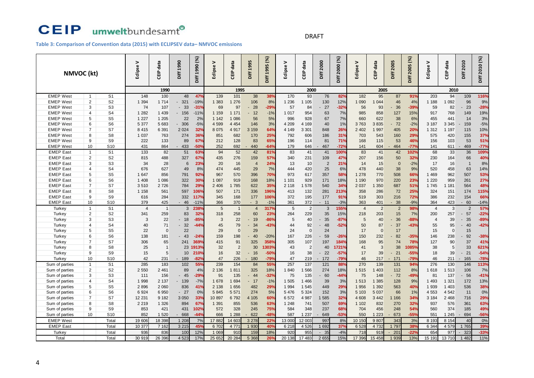#### DRAFT

**Table 3: Comparison of Convention data (2015) with ECLIPSEV data– NMVOC emissions**

| NMVOC (kt)       |                     |                                  | ><br>Eclipse   | data<br>읍      | Diff 1990 | Diff 1990 (%)   | ><br>Eclipse | data<br>룹      | 1995<br><b>Diff</b> | Diff 1995 (%)   | Eclipse V      | CEIP data     | Diff 2000      | Diff 2000 (%)    | ><br>Eclipse   | CEIP data      | Diff 2005      | Diff 2005 (%) | Eclipse V      | CEIP data    | 2010<br>Diff                   | Diff 2010 (%) |
|------------------|---------------------|----------------------------------|----------------|----------------|-----------|-----------------|--------------|----------------|---------------------|-----------------|----------------|---------------|----------------|------------------|----------------|----------------|----------------|---------------|----------------|--------------|--------------------------------|---------------|
|                  |                     |                                  |                |                |           |                 |              |                |                     |                 |                |               |                |                  |                |                |                |               |                |              |                                |               |
|                  |                     |                                  |                | 1990           |           |                 |              | 1995           |                     |                 |                | 2000          |                |                  |                | 2005           |                |               |                | 2010         |                                |               |
| <b>EMEP West</b> | $\overline{1}$      | S <sub>1</sub>                   | 148            | 100            | 48        | 47%             | 139          | 101            | 38                  | 38%             | 170            | 93            | 76             | 82%              | 182            | 95             | 87             | 91%           | 203            | 94           | 109                            | 116%          |
| <b>EMEP West</b> | $\overline{2}$      | S <sub>2</sub>                   | 1 3 9 4        | 1 7 1 4        | $-321$    | $-19%$          | 1 383        | 1 276          | 106                 | 8%              | 1 2 3 6        | 1 1 0 5       | 130            | 12%              | 1 0 9 0        | 1 044          | 46             | 4%            | 1 1 8 8        | 1 092        | 96                             | 9%            |
| <b>EMEP West</b> | 3                   | S <sub>3</sub>                   | 74             | 107            | $-33$     | $-31%$          | 69           | 97<br>1 1 7 1  | 28                  | $-29%$          | 57             | 84            | 27             | $-32%$           | 56             | 93             | 36             | $-39%$        | 59             | 82           | 23                             | $-28%$        |
| <b>EMEP West</b> | $\overline{4}$      | S <sub>4</sub>                   | 1 2 8 2        | 1 4 3 9        | $-156$    | $-11%$          | 1 1 5 9      |                | 12                  | $-1%$           | 1 0 1 7        | 954           | 63             | 7%               | 985            | 858            | 127            | 15%           | 917            | 768          | 149                            | 19%           |
| <b>EMEP West</b> | 5                   | S <sub>5</sub>                   | 1 2 2 7        | 1 2 0 5        | 22        | 2%              | 1 1 4 2      | 1 086          | 56                  | 5%              | 996            | 928           | 67             | 7%               | 660            | 622            | 38             | 6%            | 455            | 441          | 14                             | 3%            |
| <b>EMEP West</b> | 6                   | S <sub>6</sub>                   | 5 3 7 7        | 5 683          | $-306$    | $-5%$           | 4 5 9 9      | 4 4 5 4        | 146                 | 3%              | 4 2 0 9        | 4 1 6 9       | 40             | 1%               | 3763           | 3835           | 72             | $-2%$         | 3 1 8 7        | 3 3 4 5      | 159                            | $-5%$         |
| <b>EMEP West</b> | $\overline{7}$      | S7                               | 8 4 1 5        | 6 3 9 1        | 2 0 24    | 32%             | 8 0 7 5      | 4917           | 3 1 5 9             | 64%             | 4 1 4 9        | 3 3 0 1       | 848            | 26%              | 2 4 0 2        | 1 997          | 405            | <b>20%</b>    | 1 3 1 2        | 1 1 9 7      | 115                            | 10%           |
| <b>EMEP West</b> | 8                   | S <sub>8</sub>                   | 1 0 3 7        | 763            | 274       | 36%             | 851          | 682            | 170                 | 25%             | 792            | 606           | 186            | 31%              | 703            | 543            | 160            | 29%           | 575            | 420          | 155                            | 37%           |
| <b>EMEP West</b> | 9                   | S <sub>9</sub>                   | 222            | 133            | 89        | 67%             | 212          | 128            | 83                  | 65%             | 196            | 114           | 81             | 71%              | 168            | 115            | 53             | 46%           | 156            | 103          | 53                             | 51%           |
| <b>EMEP West</b> | 10                  | S <sub>10</sub>                  | 431            | 864            | 433       | -50%            | 252          | 692            | 440                 | $-64%$          | 179            | 646           | 467            | $-72%$           | 141            | 604            | 464            | $-77%$        | 141            | 611          | 469                            | $-77%$        |
| <b>EMEP East</b> | $\mathbf{1}$        | S <sub>1</sub>                   | 133            | 82             | 51        | 63%             | 94           | 52             | 42                  | 81%             | 83             | 41            | 41             | 100 <sup>o</sup> | 83             | 41             | 42             | 102%          | 68             | 33           | 36                             | 109%          |
| <b>EMEP East</b> | $\overline{c}$      | S <sub>2</sub>                   | 815            | 488            | 327       | 67%             | 435          | 276            | 159                 | 57%             | 340            | 231           | 109            | 47%              | 207            | 156            | 50             | 32%           | 230            | 164          | 66                             | 40%           |
| <b>EMEP</b> East | 3                   | S <sub>3</sub>                   | 34             | 28             | 6         | 23%             | 20           | 16             | $\overline{4}$      | 24%             | 13             | 10            | $\overline{2}$ | 21%              | 14             | 15             | $\mathbf{0}$   | $-2%$         | 17             | 16           | $\overline{\mathbf{1}}$        | 8%            |
| <b>EMEP East</b> | $\overline{4}$<br>5 | S <sub>4</sub><br>S <sub>5</sub> | 676            | 627            | 49        | 8%              | 474          | 445            | 29                  | 7%              | 444            | 420           | 25             | 6%<br>58%        | 478            | 440            | 38             | 9%            | 520            | 458          | 63                             | 14%           |
| <b>EMEP</b> East |                     |                                  | 1 647          | 856            | 791       | 92%             | 967          | 570            | 396                 | 70%             | 973            | 617           | 357            |                  | 1 2 7 8        | 770            | 508            | 66%           | 1 4 6 9        | 962          | 507                            | 53%           |
| <b>EMEP</b> East | 6                   | S <sub>6</sub>                   | 1 4 0 8        | 1 0 8 6        | 322       | 30%             | 1 0 8 7      | 919            | 168                 | 18%             | 1 1 0 1        | 929           | 171            | 18%              | 1 1 9 0        | 970            | 220            | 23%           | 1 2 2 0        | 959          | 261                            | 27%           |
| <b>EMEP East</b> | $\overline{7}$      | S7                               | 3510           | 2726           | 784       | 29%             | 2 4 0 6      | 1785           | 622                 | 35%             | 2 1 1 8        | 1578          | 540            | 34%              | 2 0 3 7        | 1 350          | 687            | 51%           | 1745           | 1 1 8 1      | 564                            | 48%           |
| <b>EMEP</b> East | 8                   | S <sub>8</sub>                   | 1 1 5 8        | 561            | 597       | 106%            | 507          | 171            | 336                 | 196%            | 413            | 132           | 281            | 213%             | 358            | 286            | 72             | 25%           | 324            | 151          | 174                            | 115%          |
| <b>EMEP East</b> | 9                   | S <sub>9</sub>                   | 616            | 284            | 332       | 117%            | 345          | 168            | 177                 | 106%            | 372            | 195           | 177            | 91%              | 519            | 303            | 216            | 72%           | 386            | 232          | 154                            | 66%           |
| <b>EMEP East</b> | 10                  | S <sub>10</sub>                  | 379            | 425            | $-46$     | $-11%$          | 366          | 370            | - 3                 | $-1%$           | 361            | 372           | 11             | $-3%$            | 363            | 401            | 38             | $-9%$         | 364            | 423          | $-60$                          | $-14%$        |
| Turkey           | $\overline{1}$      | S <sub>1</sub>                   | $\overline{4}$ | $\overline{1}$ | 3         | 238             | 5            | $\overline{1}$ | $\overline{4}$      | 317%            | $\overline{5}$ | $\mathcal{P}$ | 3              | 155%             | $\overline{4}$ | $\overline{2}$ | $\overline{2}$ | 98%           | $\overline{4}$ | 3            | $\overline{2}$                 | 57%           |
| Turkey           | $\overline{c}$      | S <sub>2</sub>                   | 341            | 259            | 83        | 32%             | 318          | 258            | 60                  | 23%             | 264            | 229           | 35             | 15%              | 218            | 203            | 15             | 7%            | 200            | 257          | 57<br>$\sim$                   | $-22%$        |
| Turkey           | 3                   | S <sub>3</sub>                   | 3              | 22             | 18        | $-85%$          | 3            | 22             | 19                  | $-86%$          | 5              | 40            | 35             | $-87%$           | 5              | 40             | 36             | $-88%$        | $\overline{4}$ | 39           | 35                             | $-89%$        |
| Turkey           | $\overline{4}$      | S <sub>4</sub>                   | 40             | 71             | 32        | $-44%$          | 45           | 79             | 34                  | $-43%$          | 44             | 92            | $-48$          | $-52%$           | 50             | 87             | 37             | $-43%$        | 55             | 95           | 40<br>$\overline{\phantom{a}}$ | $-42%$        |
| Turkey           | 5                   | S <sub>5</sub>                   | 22             | $\Omega$       | 22        |                 | 29           | $\Omega$       | 29                  |                 | 24             | $\Omega$      | 24             |                  | 17             | $\Omega$       | 17             |               | 15             | $\mathbf{0}$ | 15                             |               |
| Turkey           | 6                   | S <sub>6</sub>                   | 138            | 181            | 43        | $-24%$          | 159          | 198            | 40                  | $-20%$          | 167            | 226           | 59             | $-26%$           | 150            | 232            | 82             | $-35%$        | 146            | 238          | 92                             | $-38%$        |
| Turkey           | $\overline{7}$      | S7                               | 306            | 65             | 241       | 369%            | 415          | 91             | 325                 | 358%            | 305            | 107           | 197            | 184%             | 168            | 95             | 74             | 78%           | 127            | 90           | 37                             | 41%           |
| Turkey           | 8                   | S <sub>8</sub>                   | 25             | $\overline{1}$ | 23        | 1913%           | 32           | $\overline{2}$ | 30                  | 1303%           | 43             | $\mathcal{P}$ | 40             | 1721%            | 41             | 3              | 38             | 1085%         | 38             | 5            | 33                             | 621%          |
| Turkey           | 9                   | S <sub>9</sub>                   | 15             | 5              | 10        | 210%            | 16           | 32             | 16                  | $-50%$          | 16             | 38            | $-22$          | $-57%$           | 17             | 39             | 21             | $-55%$        | 18             | 39           | 21<br>$\overline{\phantom{a}}$ | $-54%$        |
| <b>Turkey</b>    | 10                  | S <sub>10</sub>                  | 42             | 231            | 189       | $-82%$          | 47           | 226            | 180                 | $-79%$          | 47             | 219           | 172            | $-79%$           | 46             | 217            | 171            | $-79%$        | 46             | 211          | 165                            | $-78%$        |
| Sum of parties   | $\mathbf{1}$        | S <sub>1</sub>                   | 285            | 183            | 102       | 55%             | 239          | 154            | 84                  | 55%             | 257            | 137           | 121            | 88%              | 270            | 139            | 131            | 94%           | 276            | 130          | 146                            | 113%          |
| Sum of parties   | $\overline{2}$      | S <sub>2</sub>                   | 2 5 5 0        | 2 4 6 1        | 89        | 4%              | 2 1 3 6      | 1811           | 325                 | 18%             | 1840           | 1 566         | 274            | 18%              | 1515           | 1 403          | 112            | 8%            | 1618           | 1513         | 106                            | 7%            |
| Sum of parties   | 3                   | S <sub>3</sub>                   | 111            | 156            | $-45$     | $-29%$          | 91           | 135            | $-44$               | $-32%$          | 75             | 135           | $-60$          | $-44%$           | 75             | 148            | 72             | $-49%$        | 81             | 137          | $-56$                          | $-41%$        |
| Sum of parties   | $\overline{4}$      | S <sub>4</sub>                   | 1 9 9 8        | 2 1 3 7        | $-139$    | $-7%$           | 1678         | 1 6 9 4        | $-17$               | $-1%$           | 1 505          | 1 4 6 6       | 39             | 3%               | 1 5 1 3        | 1 385          | 128            | 9%            | 1 4 9 3        | 1 3 2 1      | 172                            | 13%           |
| Sum of parties   | 5                   | S <sub>5</sub>                   | 2896           | 2 0 6 0        | 836       | 41%             | 2 1 3 8      | 1656           | 482                 | 29%             | 1 9 9 4        | 1 5 4 5       | 449            | 29%              | 1 9 5 6        | 1 3 9 2        | 563            | 40%           | 1 9 3 9        | 1 4 0 3      | 536                            | 38%           |
| Sum of parties   | 6                   | S <sub>6</sub>                   | 6924           | 6 9 5 0        | $-27$     | 0%              | 5845         | 5 5 7 1        | 274                 | 5%              | 5 4 7 6        | 5 3 2 4       | 152            | 3%               | 5 103          | 5 0 3 7        | 66             | 1%            | 4 5 5 3        | 4 5 4 2      | 11                             | 0%            |
| Sum of parties   | $\overline{7}$      | S7                               | 12 231         | 9 1 8 2        | 3 0 5 0   | 33%             | 10897        | 6792           | 4 1 0 5             | 60%             | 6572           | 4 9 8 7       | 1585           | 32%              | 4 608          | 3 4 4 2        | 1 1 6 6        | 34%           | 3 1 8 4        | 2 4 6 8      | 716                            | 29%           |
| Sum of parties   | 8                   | S <sub>8</sub>                   | 2 2 1 9        | 1 3 2 6        | 894       | 67%             | 1 3 9 1      | 855            | 536                 | 63%             | 1 2 4 8        | 741           | 507            | 69%              | 1 1 0 2        | 832            | 270            | 32%           | 937            | 576          | 361                            | 63%           |
| Sum of parties   | 9                   | S <sub>9</sub>                   | 853            | 421            | 431       | 102%            | 572          | 328            | 245                 | 75%             | 584            | 348           | 237            | 68%              | 704            | 456            | 248            | 54%           | 560            | 374          | 185                            | 49%           |
| Sum of parties   | 10                  | S <sub>10</sub>                  | 852            | 1 5 2 0        | 668       | $-44%$          | 666          | 1 2 8 8        | 622                 | $-48%$          | 587            | 1 2 3 7       | 649            | $-53%$           | 550            | 1 2 2 3        | 673            | $-55%$        | 551            | 1 2 4 5      | 694                            | $-56%$        |
| <b>EMEP West</b> |                     | Total                            | 19 606         | 18 398         | 1 2 0 8   | 7%              | 17882        | 14 603         | 3 2 7 8             | $22^\circ$      | 13 000         | 12 003        | 997            | 8%               | 10 150         | 9807           | 343            | 3%            | 8 193          | 8 1 5 4      | 40                             | 0%            |
| <b>EMEP East</b> |                     | Total                            | 10 377         | 7 1 6 2        | 3 2 1 5   | 45 <sup>°</sup> | 6702         | 4 7 7 1        | 1 930               | 40 <sup>°</sup> | 6 2 1 8        | 4 5 2 6       | 1 6 9 2        | 37%              | 6 5 28         | 4732           | 1 7 9 7        | 38%           | 6 3 4 4        | 4579         | 1765                           | 39%           |
| <b>Turkey</b>    |                     | Total                            | 936            | 836            | 100       | 12%             | 1 0 6 9      | 910            | 159                 | 18%             | 920            | 955           | $-35$          | $-4%$            | 718            | 919            | 201            | $-22%$        | 654            | 977          | 323                            | $-33%$        |
| Total            |                     | Total                            | 30 919         | 26 39 6        | 4 5 23    | 17%             | 25 652       | 20 284         | 5 3 6 8             | 26 <sup>o</sup> | 20 138         | 17 483        | 2 6 5 5        | 15%              | 17 396         | 15 458         | 1 9 3 9        | 13%           | 15 191         | 13710        | 1 4 8 2                        | 11%           |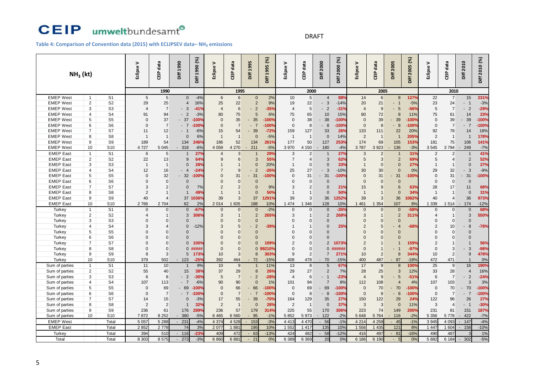#### DRAFT

**Table 4: Comparison of Convention data (2015) with ECLIPSEV data– NH<sup>3</sup> emissions**

|                                  |                                |                                   | $\geq$         | data            | Diff 1990      | Diff 1990 (%)       | >              | CEIP data       | 1995                                       | Diff 1995 (%)    | Eclipse V      | CEIP data             | Diff 2000            | Diff 2000 (%)   | >                          | CEIP data                        | Diff 2005                     | Diff 2005 (%)  | Eclipse V      | CEIP data             | Diff 2010            | Diff 2010 (%) |
|----------------------------------|--------------------------------|-----------------------------------|----------------|-----------------|----------------|---------------------|----------------|-----------------|--------------------------------------------|------------------|----------------|-----------------------|----------------------|-----------------|----------------------------|----------------------------------|-------------------------------|----------------|----------------|-----------------------|----------------------|---------------|
| $NH3$ (kt)                       |                                |                                   | Eclipse        | 흡               |                |                     | Eclipse        |                 | ă€                                         |                  |                |                       |                      |                 | Eclipse                    |                                  |                               |                |                |                       |                      |               |
|                                  |                                |                                   |                | 1990            |                |                     |                | 1995            |                                            |                  |                | 2000                  |                      |                 |                            | 2005                             |                               |                |                | 2010                  |                      |               |
| <b>EMEP West</b>                 | $\mathbf{1}$                   | S <sub>1</sub>                    | 5              | $5\phantom{.0}$ | $\mathbf{0}$   | $-4%$               | $6\phantom{1}$ | $6\phantom{.}$  | $\mathbf{0}$                               | 2%               | 10             | $5\phantom{.0}$       | $\overline{4}$       | 88%             | 14                         | $6\overline{6}$                  | 8                             | 127%           | 22             | $\overline{7}$        | 15                   | 231%          |
| <b>EMEP West</b>                 | $\overline{2}$                 | S <sub>2</sub>                    | 29             | 25              | $\overline{4}$ | 16%                 | 25             | 22              | $\overline{2}$                             | 9%               | 19             | 22                    | $\mathbf{3}$         | $-14%$          | 20                         | 21                               | $-1$                          | $-5%$          | 23             | 24                    | $\overline{1}$       | $-3%$         |
| <b>EMEP West</b>                 | 3                              | S <sub>3</sub>                    | $\overline{4}$ | $\overline{7}$  | 3              | $-41%$              | $\overline{4}$ | $6\phantom{1}$  | $\overline{2}$<br>$\blacksquare$           | $-35%$           | $\overline{4}$ | 5                     | $\overline{2}$       | $-31%$          | $\overline{4}$             | 9                                | 5<br>$\overline{\phantom{a}}$ | $-56%$         | 5              | $\overline{7}$        | $\overline{2}$       | $-29%$        |
| <b>EMEP West</b>                 | $\overline{4}$                 | S <sub>4</sub>                    | 91             | 94              | $-2$           | $-3%$               | 80             | 75              | 5                                          | 6%               | 75             | 65                    | 10                   | 15%             | 80                         | 72                               | $\mathsf{R}$                  | 11%            | 75             | 61                    | 14                   | 23%           |
| <b>EMEP West</b>                 | 5                              | S <sub>5</sub>                    | $\Omega$       | 37              | 37             | $-100$ <sup>o</sup> | $\mathbf{0}$   | 35              | 35                                         | $-100%$          | $\Omega$       | 38                    | 38                   | $-100%$         | $\mathbf{0}$               | 39                               | 39                            | $-100%$        | $\Omega$       | 39                    | 39<br>$\blacksquare$ | $-100%$       |
| <b>EMEP West</b>                 | 6                              | S <sub>6</sub>                    | $\Omega$       | $\overline{7}$  | $-7$           | $-100%$             | $\Omega$       | $\overline{7}$  | $-7$                                       | -100%            | $\mathbf 0$    | 8                     | 8<br>н.              | $-100%$         | $\Omega$                   | 8                                | 8<br>$\sim$                   | $-100%$        | $\Omega$       | $\overline{7}$        | $-7$                 | $-100%$       |
| <b>EMEP West</b>                 | $\overline{7}$                 | S7                                | 11             | 12              | - 1            | $-6%$               | 15             | 54              | 39                                         | $-72%$           | 159            | 127                   | 33                   | 26%             | 133                        | 111                              | 22                            | 20%            | 92             | 78                    | 14                   | 18%           |
| <b>EMEP West</b>                 | 8                              | S <sub>8</sub>                    | $\overline{1}$ | $\overline{1}$  | $\Omega$       | 6%                  | $\overline{1}$ | $\overline{1}$  | $\Omega$                                   | $-5%$            | $\overline{1}$ | $\overline{1}$        | $\Omega$             | 14%             | $\overline{2}$             | -1                               | $\overline{1}$                | 205%           | $\overline{2}$ | $\overline{1}$        | $\overline{1}$       | 178%          |
| <b>EMEP West</b>                 | 9                              | S <sub>9</sub>                    | 189            | 54              | 134            | 246%                | 186            | 52              | 134                                        | 261%             | 177            | 50                    | 127                  | 253%            | 174                        | 69                               | 105                           | 153%           | 181            | 75                    | 106                  | 141%          |
| <b>EMEP West</b>                 | 10                             | S <sub>10</sub>                   | 4727           | 5 0 4 5         | 318            | $-6%$               | 4 0 5 9        | 4 270           | 211                                        | $-5%$            | 3 9 7 0        | 4 150                 | 180                  | $-4%$           | 3787                       | 3 9 23                           | 136                           | $-3%$          | 3 5 4 5        | 3794                  | 249                  | $-7%$         |
| <b>EMEP East</b>                 | $\mathbf{1}$                   | S <sub>1</sub>                    | 6              | 5               | -1             | 27 <sup>°</sup>     | $\overline{4}$ | 3               | $\overline{1}$                             | 29%              | 3              | $\overline{2}$        | $\mathbf{1}$         | 27 <sup>°</sup> | 3                          | 2                                |                               | 31%            | $\overline{2}$ | $\overline{2}$        |                      | 41%           |
| <b>EMEP East</b>                 | $\overline{c}$                 | S <sub>2</sub>                    | 22             | 13              | 9              | 64%                 | 9              | 6               | 3                                          | 55%              | $\overline{7}$ | $\Delta$              | 3                    | 62%             | 5                          | $\mathbf{3}$                     | $\overline{2}$                | 69%            | 5              | $\overline{4}$        | $\overline{2}$       | 52%           |
| <b>EMEP</b> East                 | 3                              | S <sub>3</sub>                    | $\overline{1}$ | $\overline{1}$  | $\Omega$       | 28%                 | $\overline{1}$ | $\overline{1}$  | $\Omega$                                   | 20%              | $\mathbf{1}$   | $\Omega$              | $\Omega$             | 33%             | $\overline{1}$             | $\overline{0}$                   | $\Omega$                      | 27%            |                | $\overline{1}$        | $\Omega$             | 27%           |
| <b>EMEP East</b>                 | $\overline{4}$                 | S <sub>4</sub>                    | 12             | 16              | $-4$           | $-24%$              | $\overline{7}$ | $\overline{9}$  | $\overline{2}$<br>$\overline{\phantom{a}}$ | $-26o$           | 25             | 27                    | 3                    | $-10%$          | 30                         | 30 <sup>°</sup>                  | $\Omega$                      | 0%             | 29             | 32                    | 3                    | $-9%$         |
| <b>EMEP</b> East                 | 5                              | S <sub>5</sub>                    | $\Omega$       | 32              | 32             | $-100%$             | $\Omega$       | 31              | 31                                         | -100%            | $\Omega$       | 31                    | $-31$                | -100%           | $\Omega$                   | 31                               | 31                            | 100%           | $\Omega$       | 31                    | 31                   | $-100%$       |
| <b>EMEP</b> East                 | 6                              | S <sub>6</sub>                    | $\Omega$       | $\Omega$        | $\Omega$       |                     | $\Omega$       | $\overline{0}$  | $\Omega$                                   |                  | $\Omega$       | $\Omega$              | $\Omega$             |                 | $\Omega$                   | $\overline{0}$                   | $\Omega$                      |                | $\Omega$       | $\mathbf{0}$          | $\Omega$             |               |
| <b>EMEP East</b>                 | $\overline{7}$                 | S7                                | 3              | $\overline{2}$  | $\Omega$       | 7%                  | $\overline{2}$ | $\overline{2}$  | $\Omega$                                   | 9%               | 3              | $\overline{2}$        | $\Omega$             | 21%             | 15                         | 9                                | 6                             | 63%            | 28             | 17                    | 11                   | 68%           |
| <b>EMEP</b> East                 | 8                              | S <sub>8</sub>                    | $\overline{2}$ | $\overline{1}$  |                | 49%                 | $\overline{1}$ | $\overline{1}$  | $\Omega$                                   | 50%              |                |                       | $\Omega$             | 50%             | $\overline{1}$             | $\overline{1}$                   | $\Omega$                      | 34%            | $\overline{1}$ | $\overline{1}$        | $\Omega$             | 31%           |
| <b>EMEP</b> East                 | 9                              | S9                                | 40             | $\overline{4}$  | 37             | 1036%               | 39             | $\overline{3}$  | 37                                         | 291%             | 39             | 3                     | 36                   | 1252%           | 39                         | $\overline{3}$                   | 36                            | 1082%          | 40             | 4                     | 36                   | 973%          |
| <b>EMEP East</b>                 | 10                             | S <sub>10</sub>                   | 2766           | 2 7 0 4         | 62             | 2%                  | 2014           | 826             | 188                                        | 10%              | 1 4 7 4        | 1 3 4 6               | 128                  | 10%             | 1 4 6 1                    | 1 3 5 4                          | 107                           | 8%             | 1 3 3 9        | 1 5 1 4               | 174<br>$\sim$        | $-12%$        |
| Turkey                           | $\mathbf{1}$                   | S <sub>1</sub>                    | $\Omega$       | $\Omega$        | $\mathbf{0}$   | $-67%$              | $\Omega$       | $\overline{0}$  | $\Omega$                                   | $-2%$            | $\Omega$       | $\Omega$              | $\Omega$             | $-35°$          | $\Omega$                   | $\overline{0}$                   | $\Omega$                      | $-58%$         | $\Omega$       | $\Omega$              | $\Omega$             | 68%           |
| Turkey                           | $\overline{c}$                 | S <sub>2</sub>                    |                | $\overline{1}$  | 3              | 306%                | $\mathbf{3}$   | $\overline{1}$  | $\overline{2}$                             | 265 <sup>o</sup> | 3              | $\overline{1}$        | $\overline{2}$       | 268%            | 3                          | $\overline{1}$                   | $\overline{2}$                | 311%           | 4              | $\overline{1}$        | 3                    | 550%          |
| Turkey                           | 3                              | S <sub>3</sub>                    | $\Omega$       | $\Omega$        | $\Omega$       |                     | $\Omega$       | $\Omega$        | $\Omega$                                   |                  | $\Omega$       | $\Omega$              | $\Omega$             |                 | $\Omega$                   | $\Omega$                         | $\Omega$                      |                | $\Omega$       | $\Omega$              | $\Omega$             |               |
| Turkey                           | 4                              | S <sub>4</sub>                    | 3              | $\overline{4}$  | $\Omega$       | $-12%$              | 3              | $5\overline{)}$ | $\overline{2}$                             | $-39%$           |                | 1                     | $\Omega$             | 25%             | $\overline{2}$             | 5                                | $\overline{4}$                | $-68%$         | $\overline{2}$ | 10                    | 8                    | $-78%$        |
| <b>Turkey</b>                    | 5                              | S <sub>5</sub>                    | $\Omega$       | $\Omega$        | $\Omega$       |                     | $\Omega$       | $\Omega$        | $\Omega$                                   |                  | $\Omega$       | $\Omega$              | $\Omega$             |                 | $\Omega$                   | $\Omega$                         | $\Omega$                      |                | $\Omega$       | $\Omega$              | $\Omega$             |               |
| <b>Turkey</b>                    | 6                              | S <sub>6</sub>                    |                | $\Omega$        | $\Omega$       |                     | $\Omega$       | $\Omega$        | $\Omega$                                   |                  | $\Omega$       | $\Omega$              | $\Omega$             |                 | $\Omega$                   | $\Omega$                         |                               |                | $\Omega$       | $\Omega$              | $\Omega$             |               |
| <b>Turkey</b>                    | $\overline{7}$                 | S7                                |                | $\Omega$        | $\Omega$       | 100%                | $\Omega$       | $\Omega$        | $\Omega$<br>$\Omega$                       | 109%             | $\overline{2}$ | $\Omega$              | 2<br>$\Omega$        | 1073%<br>###### | $\overline{2}$<br>$\Omega$ | $\overline{1}$<br>$\overline{1}$ |                               | 159%           | $\overline{2}$ |                       |                      | 56%           |
| Turkey                           | 8                              | S <sub>8</sub>                    | $\Omega$       | $\Omega$        | $\mathbf{0}$   | #####               | $\Omega$       | $\Omega$        |                                            | 9210%            | $\Omega$       | $\Omega$              |                      |                 |                            |                                  | $\overline{\phantom{a}}$      | $-97%$         | $\Omega$       | 3                     | 3                    | $-98%$        |
| Turkey<br>Turkey                 | 9<br>10                        | S <sub>9</sub><br>S <sub>10</sub> | 8<br>379       | 3<br>502        | 5<br>123       | 173%<br>$-25%$      | 10<br>392      | 3<br>464        | 8<br>72                                    | 303%<br>$-15%$   | 9<br>408       | $\overline{2}$<br>478 | $\overline{7}$<br>70 | 271%<br>$-15%$  | 10<br>400                  | 2<br>487                         | 8<br>87                       | 344%<br>$-18%$ | 10<br>472      | $\overline{2}$<br>471 | 9<br>$\overline{1}$  | 478%          |
|                                  |                                | S <sub>1</sub>                    | 11             | 10              | $\overline{1}$ |                     | 10             | 9               |                                            | 11%              | 13             | 8                     | 5                    | 67%             |                            |                                  | $\mathsf{R}$                  | 100%           | 25             |                       |                      | 0%<br>190%    |
| Sum of parties<br>Sum of parties | $\mathbf{1}$<br>$\overline{2}$ | S <sub>2</sub>                    | 55             | 40              | 15             | 9%<br>38%           | 37             | 29              | $\overline{1}$<br>8                        | 26%              | 29             | 27                    | $\overline{2}$       | 7%              | 17<br>28                   | 9<br>25                          | 3                             | 12%            | 33             | 9<br>28               | 16<br>$\overline{4}$ | 16%           |
| Sum of parties                   | 3                              | S <sub>3</sub>                    | 6              | 8               | $\overline{2}$ | $-30%$              | $\overline{5}$ | $\overline{7}$  | $\overline{2}$<br>$\blacksquare$           | $-28%$           | $\overline{4}$ | 6                     | $-1$                 | $-23%$          | $\overline{4}$             | 9                                | $\overline{5}$<br>÷           | $-51%$         | 6              | $\overline{7}$        | $\overline{2}$       | $-24%$        |
| Sum of parties                   | 4                              | S <sub>4</sub>                    | 107            | 113             | $-7$           | $-6%$               | 90             | 90              | $\Omega$                                   | 1%               | 101            | 94                    | $\overline{7}$       | 8%              | 112                        | 108                              |                               | 4%             | 107            | 103                   | 3                    | 3%            |
| Sum of parties                   | 5                              | S <sub>5</sub>                    | $\Omega$       | 69              | 69             | $-100$ <sup>o</sup> | $\mathbf 0$    | 66              | 66                                         | $-100%$          | $\mathbf 0$    | 69                    | 69                   | $-100%$         | $\mathbf 0$                | 70                               | 70                            | $-100%$        | $\mathbf 0$    | 70                    | 70<br>$\blacksquare$ | $-100%$       |
| Sum of parties                   | 6                              | S <sub>6</sub>                    | $\Omega$       | $\overline{7}$  | $-7$           | $-100%$             | $\Omega$       | $\overline{7}$  | $-7$                                       | $-100%$          | $\Omega$       | 8                     | 8<br>÷.              | $-100%$         | $\mathbf{0}$               | 8                                | 8<br>$\overline{a}$           | $-100%$        | $\Omega$       | $\overline{7}$        | $-7$                 | $-100%$       |
| Sum of parties                   | $\overline{7}$                 | S7                                | 14             | 15              | $\mathbf 0$    | $-3%$               | 17             | 55              | 39                                         | $-70%$           | 164            | 129                   | 35                   | 27%             | 150                        | 122                              | 29                            | 24%            | 122            | 96                    | 26                   | 27%           |
| Sum of parties                   | 8                              | S <sub>8</sub>                    | $\overline{2}$ | $\overline{2}$  | $\overline{1}$ | 32%                 | $\overline{2}$ | $\overline{1}$  | $\Omega$                                   | 28%              | $\overline{2}$ | $\overline{1}$        | $\Omega$             | 37%             | 3                          | $\mathbf{3}$                     | $\Omega$                      | 11%            | 3              | $\overline{4}$        | $-1$                 | $-30%$        |
| Sum of parties                   | 9                              | S <sub>9</sub>                    | 236            | 61              | 176            | 289%                | 236            | 57              | 179                                        | 314%             | 225            | 55                    | 170                  | 306%            | 223                        | 74                               | 149                           | 200%           | 231            | 81                    | 151                  | 187%          |
| Sum of parties                   | 10                             | S <sub>10</sub>                   | 7872           | 8 2 5 2         | 380            | $-5%$               | 6 4 6 5        | 6 5 6 0         | 95                                         | $-1%$            | 5852           | 5973                  | 122                  | $-2%$           | 5 6 4 8                    | 5 7 64                           | 116                           | $-2%$          | 5 3 5 6        | 5778                  | 422                  | $-7%$         |
| <b>EMEP West</b>                 |                                | Total                             | 5 0 57         | 5 2 8 8         | 231            | $-4%$               | 4 3 7 4        | 4 5 28          | $-153$                                     | $-3%$            | 4 4 1 3        | 4 4 7 0               | $-56$                | $-1%$           | 4 2 1 4                    | 4 2 5 8                          | $-45$                         | $-1%$          | 3 9 45         | 4 0 9 3               | 147                  | $-4%$         |
| <b>EMEP East</b>                 |                                | Total                             | 2852           | 2778            | 74             | 3%                  | 2 0 7 7        | 1881            | 195                                        | 10%              | 1 552          | 1 4 1 7               | 135                  | 10%             | 1 556                      | 1 435                            | 121                           | 8%             | 1 4 4 7        | 1 604                 | 158                  | $-10%$        |
| <b>Turkey</b>                    |                                | Total                             | 394            | 510             | 116            | $-23%$              | 409            | 472             | 63                                         | $-13%$           | 424            | 482                   | $-58$                | $-12%$          | 416                        | 497                              | 81                            | $-16%$         | 490            | 487                   |                      | 1%            |
| Total                            |                                | Total                             | 8 3 0 3        | 8575            | 273            | $-3%$               | 6860           | 6881            | 21                                         | 0%               | 6 3 8 9        | 6 3 6 9               | 20                   | 0%              | 6 18 6                     | 6 190                            |                               | 0%             | 5882           | 6 184                 | 302                  | $-5%$         |
|                                  |                                |                                   |                |                 |                |                     |                |                 |                                            |                  |                |                       |                      |                 |                            |                                  |                               |                |                |                       |                      |               |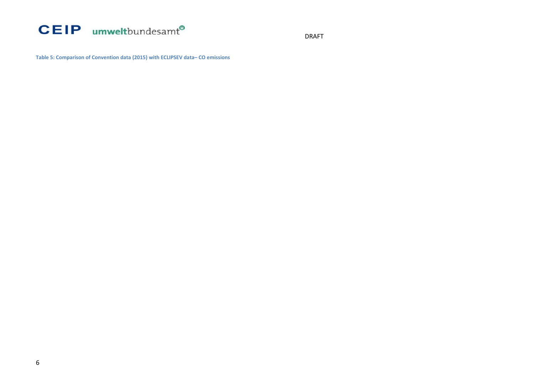

DRAFT

**Table 5: Comparison of Convention data (2015) with ECLIPSEV data– CO emissions**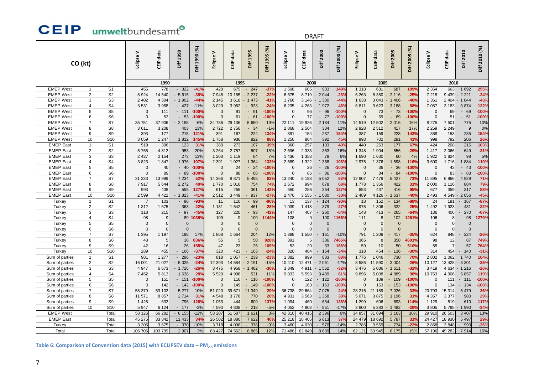### **CEIP** umweltbundesamt<sup>®</sup>

#### DRAFT

| CO (kt)                                                                                        |                     |                                  | Eclipse V       | data<br>ー<br>巴  | Diff 1990    | Diff 1990 (%)       | ><br>Eclipse       | 횽<br>品             | Diff 1995     | Diff 1995 (%)   | Eclipse V       | data<br>ー<br>こ     | Diff 2000         | (%)<br>Diff 2000 | ><br>Eclipse    | data<br>룹          | Diff 2005     | Diff 2005 (%) | Eclipse V        | data<br>ー<br>巴 | Diff 2010     | Diff 2010 (%) |
|------------------------------------------------------------------------------------------------|---------------------|----------------------------------|-----------------|-----------------|--------------|---------------------|--------------------|--------------------|---------------|-----------------|-----------------|--------------------|-------------------|------------------|-----------------|--------------------|---------------|---------------|------------------|----------------|---------------|---------------|
|                                                                                                |                     |                                  |                 | 1990            |              |                     |                    |                    |               | 2000            |                 |                    |                   | 2005             |                 |                    |               | 2010          |                  |                |               |               |
| <b>EMEP West</b>                                                                               | $\mathbf{1}$        | S <sub>1</sub>                   | 455             | 778             | $-322$       | $-41%$              | 428                | 675                | 247<br>$\sim$ | $-379$          | 1 508           | 605                | 903               | 149%             | 1 3 1 8         | 631                | 687           | 109%          | 2 3 5 4          | 663            | 1 6 9 2       | 255%          |
| <b>EMEP West</b>                                                                               | 2                   | S <sub>2</sub>                   | 8 9 2 4         | 14 540          | $-5615$      | $-39%$              | 7948               | 10 185             | 2 2 3 7       | $-22%$          | 6675            | 8719               | 2 0 4 4<br>$\sim$ | $-23%$           | 6 2 6 3         | 8 3 8 0            | $-2116$       | $-25%$        | 7 2 1 8          |                | 9 439 - 2 221 | $-24%$        |
| <b>EMEP West</b>                                                                               | 3                   | S <sub>3</sub>                   | 2 4 0 2         | 4 3 0 4         | $-1902$      | $-449$              | 2 1 4 5            | 3618               | $-1473$       | $-419$          | 1766            | 3 1 4 6            | $-1380$           | $-44%$           | 1 638           | 3 0 4 3            | $-1406$       | $-46%$        | 1 3 6 1          |                | 2 404 - 1 044 | $-43%$        |
| <b>EMEP West</b>                                                                               | $\overline{4}$      | S <sub>4</sub>                   | 3 5 3 1         | 3 9 5 8         | $-427$       | $-11%$              | 3 0 2 9            | 3 9 6 2            | 933           | $-249$          | 6 2 3 5         | 4 2 6 3            | 1972              | 46%              | 6811            | 3623               | 3 1 8 8       | 88%           | 7 0 5 7          | 3 1 8 3        | 3874          | 122%          |
| <b>EMEP West</b>                                                                               | 5                   | S <sub>5</sub>                   | $\Omega$        | 111             | $-111$       | $-100%$             | $\Omega$           | 91                 | 91<br>÷.      | $-100%$         |                 | 96                 | $-96$             | $-100%$          | $\Omega$        | 73                 | $-73$         | $-100%$       |                  | 69             | 69<br>$\sim$  | $-100%$       |
| <b>EMEP West</b>                                                                               | 6                   | S <sub>6</sub>                   | $\Omega$        | 53              | 53           | $-100$ <sup>o</sup> | $\Omega$           | 61                 | 61<br>$\sim$  | $-100$          |                 | 77                 | $-77$             | $-100%$          | $\Omega$        | 69                 | 69<br>$\sim$  | $-100%$       | $\Omega$         | 51             | $-51$         | $-100%$       |
| <b>EMEP West</b>                                                                               | $\overline{7}$      | S7                               | 35 751          | 37 906          | 2 1 5 5      | $-6%$               | 34 786             | 29 136             | 5 6 5 0       | 19%             | 22 111          | 19 9 26            | 2 1 8 4           | 11%              | 14 519          | 12 502             | 2016          | 16%           | 8 2 7 5          | 7 5 0 1        | 775           | 10%           |
| <b>EMEP West</b>                                                                               | 8                   | S8                               | 3611            | 3 2 0 8         | 403          | 13%                 | 2722               | 2756               | 34<br>$\sim$  | $-1%$           | 2868            | 2 5 6 4            | 304               | 12%              | 2 9 2 8         | 2512               | 417           | 17%           | 2 2 5 9          | 2 2 4 9        | 9             | 0%            |
| <b>EMEP West</b>                                                                               | 9                   | S9                               | 393             | 177             | 215          | 121%                | 391                | 167                | 224           | 134%            | 391             | 154                | 237               | 154%             | 387             | 159                | 228           | 143%          | 388              | 153            | 235           | 154%          |
| <b>EMEP West</b>                                                                               | 10                  | S <sub>10</sub>                  | 3 0 5 9         | 1 247           | 1812         | 145%                | 1758               | 936                | 822           | 88 <sup>°</sup> | 1 2 5 6         | 864                | 392               | 45%              | 993             | 702                | 291           | 41%           | 998              | 792            | 206           | 26%           |
| <b>EMEP East</b>                                                                               | $\mathbf{1}$        | S <sub>1</sub>                   | 519             | 396             | 123          | 31%                 | 380                | 273                | 107           | 39%             | 360             | 257                | 103               | 40%              | 440             | 263                | 177           | 67%           | 424              | 208            | 215           | 103%          |
| <b>EMEP East</b>                                                                               | $\overline{c}$      | S <sub>2</sub>                   | 5765            | 4 8 1 2         | 953<br>273   | 20%                 | 3 2 6 4            | 2757               | 507           | 18%             | 2696            | 2 3 3 3            | 363               | 16%              | 1 3 4 8         | 1 904              | 556           | $-29%$<br>4%  | 1 4 1 7          | 2 0 6 6        | 649           | $-31%$        |
| <b>EMEP East</b><br><b>EMEP East</b>                                                           | 3<br>$\overline{4}$ | S <sub>3</sub><br>S <sub>4</sub> | 2 4 2 7<br>3823 | 2 1 5 4<br>1847 | 1976         | 13%<br>107%         | 1 2 0 3<br>2 3 9 1 | 1 1 1 9<br>1 0 2 7 | 84<br>1 3 6 4 | 7%<br>133%      | 1 4 3 6<br>2689 | 1 3 5 8<br>1 3 2 2 | 78<br>1 3 6 8     | 6%<br>103%       | 1 6 9 0<br>2975 | 1 6 3 0<br>1 3 7 6 | 60<br>1 5 9 8 | 116%          | 1 9 2 2<br>3 600 | 1824<br>1716   | 98<br>1884    | 5%<br>110%    |
| <b>EMEP East</b>                                                                               | 5                   | S <sub>5</sub>                   | $\Omega$        | 40              | $-40$        | $-100%$             | $\Omega$           | 24                 | 24<br>$\sim$  | $-100%$         | $\Omega$        | 26                 | $-26$             | $-100%$          | $\Omega$        | 36                 | 36            | $-100%$       | $\Omega$         | 43             | $-43$         | $-100%$       |
| <b>EMEP East</b>                                                                               | 6                   | S <sub>6</sub>                   | $\Omega$        | 89              | 89<br>$\sim$ | $-100$              | $\Omega$           | 88                 | 88<br>$\sim$  | $-100%$         | $\Omega$        | 86                 | $-86$             | $-100%$          | $\Omega$        | 84                 | $-84$         | $-100%$       | $\Omega$         | 83             | $-83$         | $-100%$       |
| <b>EMEP East</b>                                                                               | $\overline{7}$      | S7                               | 21 233          | 13 999          | 7 2 3 4      | 52%                 | 14 3 66            | 8871               | 5 4 9 5       | 62 <sup>o</sup> | 13 240          | 8 1 8 8            | 5 0 5 2           | 62%              | 12 907          | 7479               | 5 4 27        | 73%           | 11 895           | 6966           | 4 9 2 9       | 71%           |
| <b>EMEP East</b>                                                                               | 8                   | S8                               | 7917            | 5 6 4 4         | 2 2 7 2      | 40 <sup>o</sup>     | 1770               | 1 0 1 6            | 754           | 74%             | 1 672           | 994                | 678               | 68%              | 1778            | 1 3 5 6            | 422           | 31%           | 2 0 0 0          | 1 1 1 6        | 884           | 79%           |
| <b>EMEP East</b>                                                                               | 9                   | S9                               | 993             | 438             | 555          | 127%                | 615                | 255                | 361           | 142%            | 650             | 286                | 364               | 127%             | 853             | 437                | 416           | 95%           | 677              | 359            | 317           | 88%           |
| <b>EMEP East</b>                                                                               | 10                  | S <sub>10</sub>                  | 2 5 9 9         | 4 4 2 2         | $-1823$      | $-419$              | 2512               | 3 4 4 9            | 937           | $-27^{\circ}$   | 2 4 7 6         | 3 5 5 5            | 1 0 8 0           | $-30%$           | 2 4 8 9         | 4 1 2 6            | $-1637$       | $-40%$        | 2 4 9 3          | 4 5 4 9 -      | 2 0 5 6       | $-45%$        |
| Turkey                                                                                         | $\mathbf{1}$        | S <sub>1</sub>                   | $\overline{7}$  | 103             | 96           | $-93o$              | 11                 | 110                | 99            | $-90^\circ$     | 13              | 137                | 124               | $-90%$           | 18              | 152                | 134           | $-88%$        | 24               | 191            | $-167$        | $-87%$        |
| <b>Turkey</b>                                                                                  | $\overline{2}$      | S <sub>2</sub>                   | 1 3 1 2         | 1 675           | 363          | $-22%$              | 1 1 8 1            | 1 6 4 2            | 461           | $-28%$          | 1 0 3 9         | 1 4 1 8            | 379               | $-27%$           | 975             | 1 306              | 332           | $-25%$        | 1 4 9 2          | 1923           | 431<br>$\sim$ | $-22%$        |
| Turkey                                                                                         | 3                   | S <sub>3</sub>                   | 118             | 215             | 97           | $-45%$              | 127                | 220                | 93            | $-42%$          | 147             | 407                | 260               | $-64%$           | 148             | 413                | 265           | $-64%$        | 136              | 406            | 270<br>$\sim$ | $-67%$        |
| Turkey                                                                                         | 4                   | S4                               | 98              | 9               | 89           | 1039%               | 109                | 9                  | 100           | 1144%           | 108             | g                  | 100               | 1166%            | 111             | 8                  | 102           | 1261%         | 106              | 8              | 98            | 1279%         |
| <b>Turkey</b>                                                                                  | 5                   | S <sub>5</sub>                   | $\Omega$        | $\overline{0}$  | $\Omega$     |                     | $\Omega$           | $\Omega$           | $\Omega$      |                 | $\Omega$        | $\Omega$           | $\Omega$          |                  | $\Omega$        | $\Omega$           | $\Omega$      |               | $\Omega$         | $\mathbf{0}$   | $\Omega$      |               |
| Turkey                                                                                         | 6                   | S <sub>6</sub>                   | $\Omega$        | $\overline{0}$  | $\Omega$     |                     | $\mathbf 0$        | $\Omega$           | $\Omega$      |                 | $\Omega$        | $\Omega$           | $\Omega$          |                  | $\Omega$        | $\Omega$           | $\Omega$      |               | $\Omega$         | $\mathbf{0}$   | $\Omega$      |               |
| Turkey                                                                                         | $\overline{7}$      | S7                               | 1 3 9 5         | 1 197           | 198          | 17%                 | 1868               | 1 6 6 4            | 204           | 12%             | 1 3 8 8         | 1 550              | 161               | $-10%$           | 791             | 1 2 0 8            | 417           | $-35%$        | 624              | 848            | 224           | $-26%$        |
| <b>Turkey</b>                                                                                  | 8                   | S8                               | 43              | 5               | 38           | 836%                | 55                 | 5                  | 50            | 928%            | 391             | 5                  | 386               | 7465%            | 365             | 8                  | 358           | 4601%         | 98               | 12             | 87            | 749%          |
| Turkey                                                                                         | 9                   | S <sub>9</sub>                   | 42              | 16              | 26           | 158%                | 47                 | 23                 | 25            | 109%            | 53              | 20                 | 33                | 166%             | 59              | 10                 | 50            | 510%          | 65               | $\overline{7}$ | 57            | 764%          |
| Turkey                                                                                         | 10                  | S <sub>10</sub>                  | 289             | 455             | $-166$       | $-37%$              | 320                | 423                | 103           | $-24%$          | 320             | 484                | 164               | $-34%$           | 318             | 454                | $-136$        | $-30%$        | 314              | 454            | $-140$        | $-31%$        |
| Sum of parties                                                                                 | $\mathbf{1}$        | S <sub>1</sub>                   | 981             | 1 277           | 296          | $-23^{\circ}$       | 818                | 1 0 5 7            | 239           | $-23^{\circ}$   | 1882            | 999                | 883               | 88 <sup>°</sup>  | 1776            | 1 046              | 730           | <b>70%</b>    | 2 8 0 2          | 1 0 6 2        | 1 7 4 0       | 164%          |
| Sum of parties                                                                                 | 2                   | S <sub>2</sub>                   | 16 001          | 21 0 27         | $-5025$      | $-24%$              | 12 3 93            | 14 584             | 2 1 9 1       | $-15%$          | 10 410          | 12 471             | $-2061$           | $-17%$           | 8 5 8 6         | 11 590             | 3 0 0 4       | $-26%$        | 10 127           | 13 428 - 3 301 |               | $-25%$        |
| Sum of parties                                                                                 | 3                   | S <sub>3</sub>                   | 4 9 4 7         | 6673            | $-1726$      | $-26%$              | 3 4 7 5            | 4 9 5 8            | $-1482$       | $-30%$          | 3 3 4 9         | 4 9 1 1            | $-1562$           | $-32%$           | 3 4 7 6         | 5 0 8 6            | $-1611$       | $-32%$        | 3 4 1 9          |                | 4 634 - 1 216 | $-26%$        |
| Sum of parties                                                                                 | 4                   | S <sub>4</sub>                   | 7 4 5 2         | 5813            | 1 638        | 28%                 | 5 5 2 9            | 4 9 9 8            | 531           | 11%             | 9033            | 5 5 9 3            | 3 4 3 9           | 61%              | 9896            | 5 0 0 8            | 4 8 8 9       | 98%           | 10763            | 4 9 0 6        | 5 8 5 7       | 119%          |
| Sum of parties                                                                                 | 5                   | S <sub>5</sub>                   | $\Omega$        | 151             | $-151$       | $-100%$             | $\mathbf{0}$       | 116                | 116           | $-100%$         | $\Omega$        | 122                | 122<br>$\sim$     | $-100%$          | $\Omega$        | 109                | $-109$        | $-100%$       | $\Omega$         | 111            | $-111$        | $-100%$       |
| Sum of parties                                                                                 | 6                   | S <sub>6</sub>                   | $\Omega$        | 142             | $-142$       | $-100$              | $\Omega$           | 149                | 149           | $-100%$         | $\Omega$        | 163                | 163<br>$\sim$     | $-100%$          | $\Omega$        | 153                | $-153$        | $-100%$       | C                | 134            | $-134$        | $-100%$       |
| Sum of parties                                                                                 | $\overline{7}$      | S7                               | 58 379          | 53 102          | 5 2 7 7      | 10%                 | 51 0 20            | 39 671             | 11 349        | $29^\circ$      | 36 738          | 29 6 64            | 7 0 7 5           | 24%              | 28 216          | 21 189             | 7 0 26        | 33%           | 20 793           | 15 3 14        | 5 4 7 9       | 36%           |
| Sum of parties                                                                                 | 8                   | S <sub>8</sub>                   | 11 571          | 8857            | 2 7 1 4      | 31%                 | 4 5 4 8            | 3778               | 770           | 20%             | 4 9 3 1         | 3 5 6 3            | 1 3 6 8           | 38%              | 5 0 7 1         | 3875               | 1 1 9 6       | 31%           | 4 3 5 7          | 3 3 7 7        | 980           | 29%           |
| Sum of parties                                                                                 | 9                   | S9                               | 1 4 2 8         | 632             | 796          | 126%                | 1 0 5 3            | 444                | 609           | 137%            | 1 0 9 4         | 460                | 634               | 138%             | 1 2 9 9         | 606                | 693           | 114%          | 1 1 2 9          | 519            | 610           | 117%          |
| Sum of parties                                                                                 | 10                  | S <sub>10</sub>                  | 5 9 4 7         | 6 1 2 4         | $-177$       | $-3%$               | 4 5 9 0            | 4 8 0 8            | 218           | $-5%$           | 4 0 5 2         | 4 9 0 3            | 851               | $-17%$           | 3800            | 5 2 8 3            | $-1482$       | $-28%$        | 3 8 0 5          | 5795           | 1 9 9 0       | $-34%$        |
| <b>EMEP West</b>                                                                               |                     | Total                            | 58 126          | 66 28 2         | $-8155$      | $-12%$              | 53 207             | 51 587             | 1 6 2 1       | 3%              | 42 810          | 40 415             | 2 3 9 6           | 6%               | 34 857          | 31 694             | 3 163         | 10%           | 29 910           | 26 503         | 3 4 0 7       | 13%           |
| <b>EMEP East</b>                                                                               |                     | Total                            | 45 275          | 33 842          | 11 433       | 34 <sup>°</sup>     | 26 502             | 18 880             | 7 6 22        | 40 <sup>°</sup> | 25 218          | 18 405             | 6813              | 37%              | 24 479          | 18 692             | 5 787         | 31%           | 24 4 27          | 18 930         | 5 4 9 7       | 29%           |
| Turkey                                                                                         |                     | Total                            | 3 3 0 5         | 3 6 75          | $-370$       | $-10%$              | 3718               | 4 0 9 6            | 378           | $-9%$           | 3 4 6 (         | 4 0 3 0            | 570               | $-14%$           | 2 785           | 3 5 5 9            | 774           | $-22°$        | 2 8 5 8          | 3848           | 990           | $-26%$        |
| Total                                                                                          |                     | Total                            | 106 706         | 103 799         | 2 9 0        | 3%                  | 83 427             | 74 562             | 8 8 6 5       | 12%             | 71 488          | 62 849             | 8 6 3 9           | 14%              | 62 121          | 53 945             | 8 175         | 15%           | 57 196           | 49 28 2        | 7914          | 16%           |
| Table 6: Comparison of Convention data (2015) with ECLIPSEV data - PM <sub>2.5</sub> emissions |                     |                                  |                 |                 |              |                     |                    |                    |               |                 |                 |                    |                   |                  |                 |                    |               |               |                  |                |               |               |